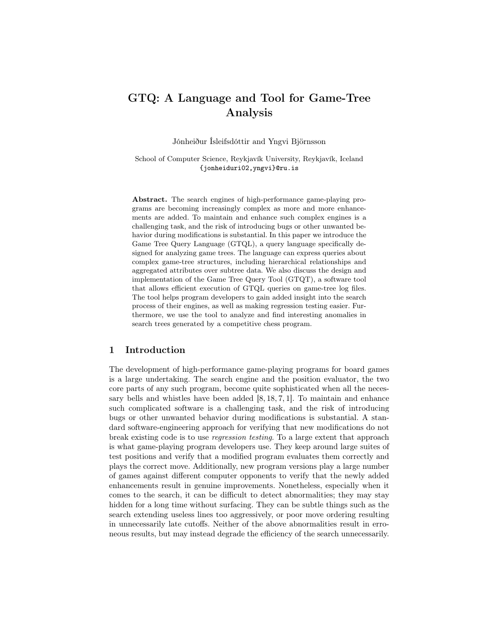# GTQ: A Language and Tool for Game-Tree Analysis

Jónheiður Ísleifsdóttir and Yngvi Björnsson

School of Computer Science, Reykjavík University, Reykjavík, Iceland {jonheiduri02,yngvi}@ru.is

Abstract. The search engines of high-performance game-playing programs are becoming increasingly complex as more and more enhancements are added. To maintain and enhance such complex engines is a challenging task, and the risk of introducing bugs or other unwanted behavior during modifications is substantial. In this paper we introduce the Game Tree Query Language (GTQL), a query language specifically designed for analyzing game trees. The language can express queries about complex game-tree structures, including hierarchical relationships and aggregated attributes over subtree data. We also discuss the design and implementation of the Game Tree Query Tool (GTQT), a software tool that allows efficient execution of GTQL queries on game-tree log files. The tool helps program developers to gain added insight into the search process of their engines, as well as making regression testing easier. Furthermore, we use the tool to analyze and find interesting anomalies in search trees generated by a competitive chess program.

## 1 Introduction

The development of high-performance game-playing programs for board games is a large undertaking. The search engine and the position evaluator, the two core parts of any such program, become quite sophisticated when all the necessary bells and whistles have been added [8, 18, 7, 1]. To maintain and enhance such complicated software is a challenging task, and the risk of introducing bugs or other unwanted behavior during modifications is substantial. A standard software-engineering approach for verifying that new modifications do not break existing code is to use regression testing. To a large extent that approach is what game-playing program developers use. They keep around large suites of test positions and verify that a modified program evaluates them correctly and plays the correct move. Additionally, new program versions play a large number of games against different computer opponents to verify that the newly added enhancements result in genuine improvements. Nonetheless, especially when it comes to the search, it can be difficult to detect abnormalities; they may stay hidden for a long time without surfacing. They can be subtle things such as the search extending useless lines too aggressively, or poor move ordering resulting in unnecessarily late cutoffs. Neither of the above abnormalities result in erroneous results, but may instead degrade the efficiency of the search unnecessarily.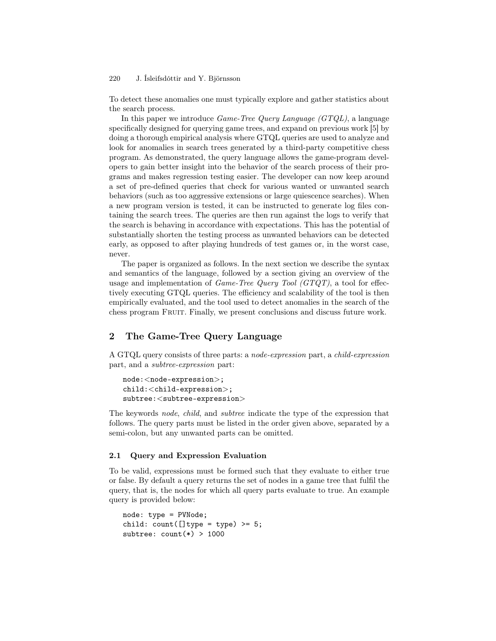To detect these anomalies one must typically explore and gather statistics about the search process.

In this paper we introduce *Game-Tree Query Language (GTQL)*, a language specifically designed for querying game trees, and expand on previous work [5] by doing a thorough empirical analysis where GTQL queries are used to analyze and look for anomalies in search trees generated by a third-party competitive chess program. As demonstrated, the query language allows the game-program developers to gain better insight into the behavior of the search process of their programs and makes regression testing easier. The developer can now keep around a set of pre-defined queries that check for various wanted or unwanted search behaviors (such as too aggressive extensions or large quiescence searches). When a new program version is tested, it can be instructed to generate log files containing the search trees. The queries are then run against the logs to verify that the search is behaving in accordance with expectations. This has the potential of substantially shorten the testing process as unwanted behaviors can be detected early, as opposed to after playing hundreds of test games or, in the worst case, never.

The paper is organized as follows. In the next section we describe the syntax and semantics of the language, followed by a section giving an overview of the usage and implementation of *Game-Tree Query Tool (GTQT)*, a tool for effectively executing GTQL queries. The efficiency and scalability of the tool is then empirically evaluated, and the tool used to detect anomalies in the search of the chess program FRUIT. Finally, we present conclusions and discuss future work.

# 2 The Game-Tree Query Language

A GTQL query consists of three parts: a node-expression part, a child-expression part, and a subtree-expression part:

```
node:<node-expression>;
child:<child-expression>;
subtree:<subtree-expression>
```
The keywords node, child, and subtree indicate the type of the expression that follows. The query parts must be listed in the order given above, separated by a semi-colon, but any unwanted parts can be omitted.

## 2.1 Query and Expression Evaluation

To be valid, expressions must be formed such that they evaluate to either true or false. By default a query returns the set of nodes in a game tree that fulfil the query, that is, the nodes for which all query parts evaluate to true. An example query is provided below:

```
node: type = PVNode;
child: count([]type = type) \ge 5;subtree: count(*) > 1000
```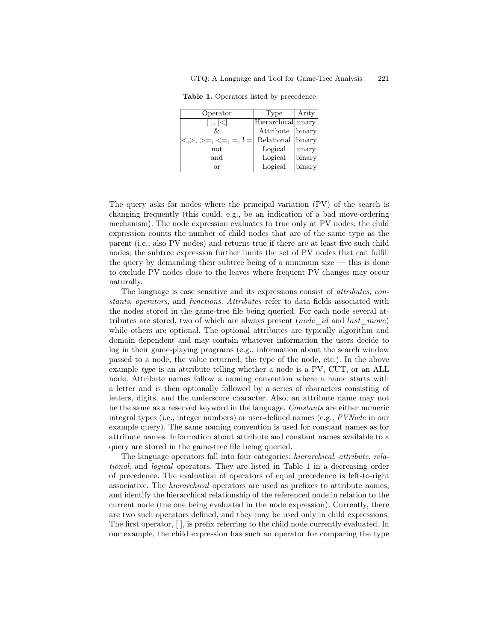Table 1. Operators listed by precedence

| Operator                                                         | Type               | Arity  |
|------------------------------------------------------------------|--------------------|--------|
| ,  <                                                             | Hierarchical unary |        |
| &z.                                                              | Attribute   binary |        |
| $\lt, \gt, \gt = \gt, \lt = \gt, \gt = \gt, \cdot \cdot \cdot =$ | Relational binary  |        |
| not                                                              | Logical            | unary  |
| and                                                              | Logical            | binary |
| Ωr                                                               | Logical            | binary |

The query asks for nodes where the principal variation (PV) of the search is changing frequently (this could, e.g., be an indication of a bad move-ordering mechanism). The node expression evaluates to true only at PV nodes; the child expression counts the number of child nodes that are of the same type as the parent (i.e., also PV nodes) and returns true if there are at least five such child nodes; the subtree expression further limits the set of PV nodes that can fulfill the query by demanding their subtree being of a minimum size — this is done to exclude PV nodes close to the leaves where frequent PV changes may occur naturally.

The language is case sensitive and its expressions consist of attributes, constants, operators, and functions. Attributes refer to data fields associated with the nodes stored in the game-tree file being queried. For each node several attributes are stored, two of which are always present  $(node\ id\ and\ last\ move)$ while others are optional. The optional attributes are typically algorithm and domain dependent and may contain whatever information the users decide to log in their game-playing programs (e.g., information about the search window passed to a node, the value returned, the type of the node, etc.). In the above example type is an attribute telling whether a node is a PV, CUT, or an ALL node. Attribute names follow a naming convention where a name starts with a letter and is then optionally followed by a series of characters consisting of letters, digits, and the underscore character. Also, an attribute name may not be the same as a reserved keyword in the language. Constants are either numeric integral types (i.e., integer numbers) or user-defined names (e.g., PVNode in our example query). The same naming convention is used for constant names as for attribute names. Information about attribute and constant names available to a query are stored in the game-tree file being queried.

The language operators fall into four categories: hierarchical, attribute, relational, and logical operators. They are listed in Table 1 in a decreasing order of precedence. The evaluation of operators of equal precedence is left-to-right associative. The hierarchical operators are used as prefixes to attribute names, and identify the hierarchical relationship of the referenced node in relation to the current node (the one being evaluated in the node expression). Currently, there are two such operators defined, and they may be used only in child expressions. The first operator, [ ], is prefix referring to the child node currently evaluated. In our example, the child expression has such an operator for comparing the type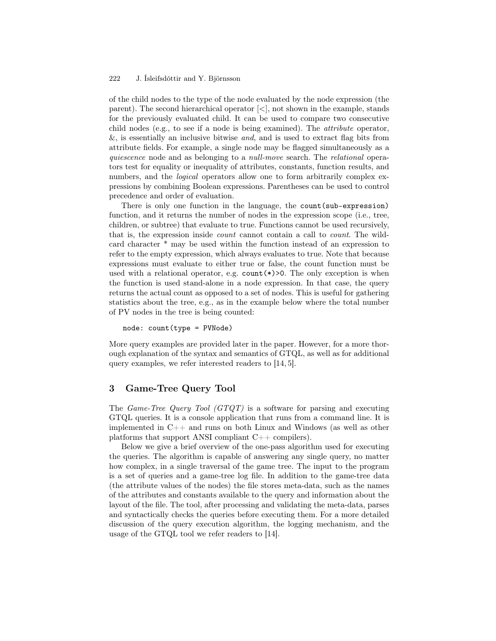of the child nodes to the type of the node evaluated by the node expression (the parent). The second hierarchical operator  $\leq$ , not shown in the example, stands for the previously evaluated child. It can be used to compare two consecutive child nodes (e.g., to see if a node is being examined). The attribute operator,  $\&$ , is essentially an inclusive bitwise *and*, and is used to extract flag bits from attribute fields. For example, a single node may be flagged simultaneously as a quiescence node and as belonging to a null-move search. The relational operators test for equality or inequality of attributes, constants, function results, and numbers, and the *logical* operators allow one to form arbitrarily complex expressions by combining Boolean expressions. Parentheses can be used to control precedence and order of evaluation.

There is only one function in the language, the count(sub-expression) function, and it returns the number of nodes in the expression scope (i.e., tree, children, or subtree) that evaluate to true. Functions cannot be used recursively, that is, the expression inside count cannot contain a call to count. The wildcard character \* may be used within the function instead of an expression to refer to the empty expression, which always evaluates to true. Note that because expressions must evaluate to either true or false, the count function must be used with a relational operator, e.g.  $count(*)\geq 0$ . The only exception is when the function is used stand-alone in a node expression. In that case, the query returns the actual count as opposed to a set of nodes. This is useful for gathering statistics about the tree, e.g., as in the example below where the total number of PV nodes in the tree is being counted:

node: count(type = PVNode)

More query examples are provided later in the paper. However, for a more thorough explanation of the syntax and semantics of GTQL, as well as for additional query examples, we refer interested readers to [14, 5].

## 3 Game-Tree Query Tool

The *Game-Tree Query Tool (GTQT)* is a software for parsing and executing GTQL queries. It is a console application that runs from a command line. It is implemented in C++ and runs on both Linux and Windows (as well as other platforms that support ANSI compliant C++ compilers).

Below we give a brief overview of the one-pass algorithm used for executing the queries. The algorithm is capable of answering any single query, no matter how complex, in a single traversal of the game tree. The input to the program is a set of queries and a game-tree log file. In addition to the game-tree data (the attribute values of the nodes) the file stores meta-data, such as the names of the attributes and constants available to the query and information about the layout of the file. The tool, after processing and validating the meta-data, parses and syntactically checks the queries before executing them. For a more detailed discussion of the query execution algorithm, the logging mechanism, and the usage of the GTQL tool we refer readers to [14].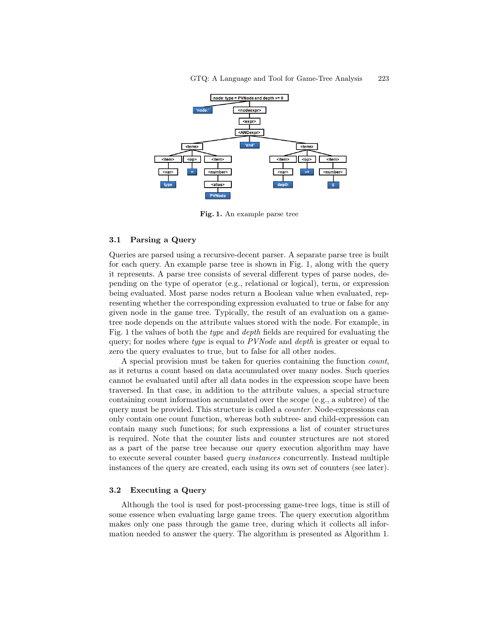

Fig. 1. An example parse tree

## 3.1 Parsing a Query

Queries are parsed using a recursive-decent parser. A separate parse tree is built for each query. An example parse tree is shown in Fig. 1, along with the query it represents. A parse tree consists of several different types of parse nodes, depending on the type of operator (e.g., relational or logical), term, or expression being evaluated. Most parse nodes return a Boolean value when evaluated, representing whether the corresponding expression evaluated to true or false for any given node in the game tree. Typically, the result of an evaluation on a gametree node depends on the attribute values stored with the node. For example, in Fig. 1 the values of both the type and depth fields are required for evaluating the query; for nodes where type is equal to  $PVNode$  and depth is greater or equal to zero the query evaluates to true, but to false for all other nodes.

A special provision must be taken for queries containing the function count, as it returns a count based on data accumulated over many nodes. Such queries cannot be evaluated until after all data nodes in the expression scope have been traversed. In that case, in addition to the attribute values, a special structure containing count information accumulated over the scope (e.g., a subtree) of the query must be provided. This structure is called a counter. Node-expressions can only contain one count function, whereas both subtree- and child-expression can contain many such functions; for such expressions a list of counter structures is required. Note that the counter lists and counter structures are not stored as a part of the parse tree because our query execution algorithm may have to execute several counter based query instances concurrently. Instead multiple instances of the query are created, each using its own set of counters (see later).

## 3.2 Executing a Query

Although the tool is used for post-processing game-tree logs, time is still of some essence when evaluating large game trees. The query execution algorithm makes only one pass through the game tree, during which it collects all information needed to answer the query. The algorithm is presented as Algorithm 1.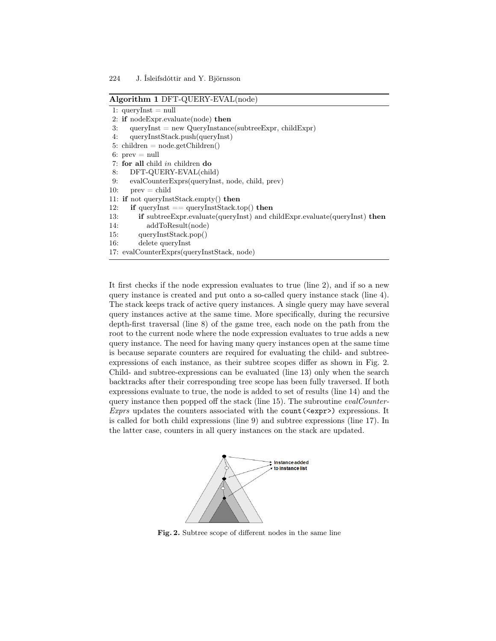Algorithm 1 DFT-QUERY-EVAL(node)

1:  $queryInst = null$ 2: if nodeExpr.evaluate(node) then 3: queryInst = new QueryInstance(subtreeExpr, childExpr) 4: queryInstStack.push(queryInst) 5: children  $=$  node.getChildren $()$ 6:  $prev = null$ 7: for all child in children do 8: DFT-QUERY-EVAL(child) 9: evalCounterExprs(queryInst, node, child, prev) 10:  $prev = child$ 11: if not queryInstStack.empty() then 12: if queryInst  $==$  queryInstStack.top() then 13: if subtreeExpr.evaluate(queryInst) and childExpr.evaluate(queryInst) then 14: addToResult(node) 15: queryInstStack.pop() 16: delete queryInst 17: evalCounterExprs(queryInstStack, node)

It first checks if the node expression evaluates to true (line 2), and if so a new query instance is created and put onto a so-called query instance stack (line 4). The stack keeps track of active query instances. A single query may have several query instances active at the same time. More specifically, during the recursive depth-first traversal (line 8) of the game tree, each node on the path from the root to the current node where the node expression evaluates to true adds a new query instance. The need for having many query instances open at the same time is because separate counters are required for evaluating the child- and subtreeexpressions of each instance, as their subtree scopes differ as shown in Fig. 2. Child- and subtree-expressions can be evaluated (line 13) only when the search backtracks after their corresponding tree scope has been fully traversed. If both expressions evaluate to true, the node is added to set of results (line 14) and the query instance then popped off the stack (line 15). The subroutine *evalCounter-*Exprs updates the counters associated with the count ( $\langle \text{expr}\rangle$ ) expressions. It is called for both child expressions (line 9) and subtree expressions (line 17). In the latter case, counters in all query instances on the stack are updated.



Fig. 2. Subtree scope of different nodes in the same line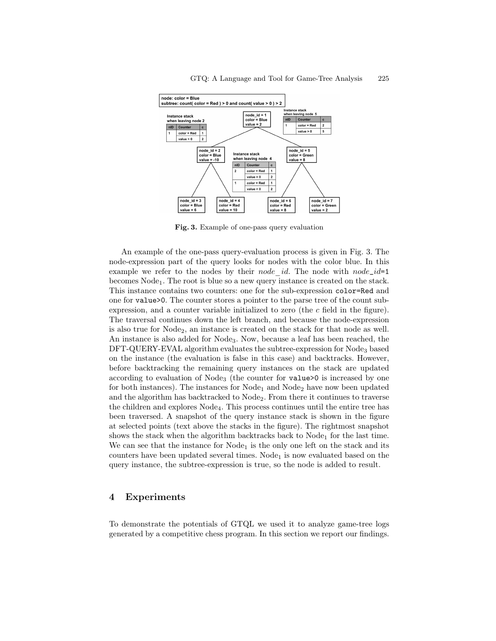

Fig. 3. Example of one-pass query evaluation

An example of the one-pass query-evaluation process is given in Fig. 3. The node-expression part of the query looks for nodes with the color blue. In this example we refer to the nodes by their *node* id. The node with  $node\_id=1$ becomes Node<sub>1</sub>. The root is blue so a new query instance is created on the stack. This instance contains two counters: one for the sub-expression color=Red and one for value>0. The counter stores a pointer to the parse tree of the count subexpression, and a counter variable initialized to zero (the  $c$  field in the figure). The traversal continues down the left branch, and because the node-expression is also true for  $\text{Node}_2$ , an instance is created on the stack for that node as well. An instance is also added for Node3. Now, because a leaf has been reached, the DFT-QUERY-EVAL algorithm evaluates the subtree-expression for Node3 based on the instance (the evaluation is false in this case) and backtracks. However, before backtracking the remaining query instances on the stack are updated according to evaluation of  $\text{Node}_3$  (the counter for value>0 is increased by one for both instances). The instances for  $\text{Node}_1$  and  $\text{Node}_2$  have now been updated and the algorithm has backtracked to Node<sub>2</sub>. From there it continues to traverse the children and explores  $\text{Node}_4$ . This process continues until the entire tree has been traversed. A snapshot of the query instance stack is shown in the figure at selected points (text above the stacks in the figure). The rightmost snapshot shows the stack when the algorithm backtracks back to  $\text{Node}_1$  for the last time. We can see that the instance for  $Node_1$  is the only one left on the stack and its counters have been updated several times. Node<sub>1</sub> is now evaluated based on the query instance, the subtree-expression is true, so the node is added to result.

## 4 Experiments

To demonstrate the potentials of GTQL we used it to analyze game-tree logs generated by a competitive chess program. In this section we report our findings.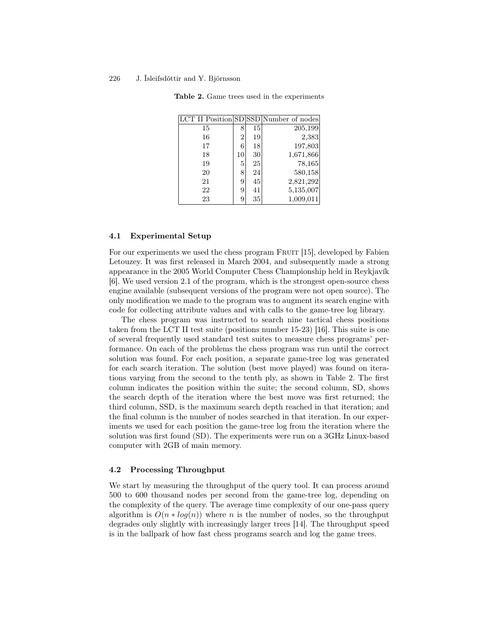|    |    |    | LCT II Position SD SSD Number of nodes |
|----|----|----|----------------------------------------|
| 15 | 8  | 15 | 205,199                                |
| 16 | 2  | 19 | 2,383                                  |
| 17 | 6  | 18 | 197,803                                |
| 18 | 10 | 30 | 1,671,866                              |
| 19 | 5  | 25 | 78,165                                 |
| 20 | 8  | 24 | 580,158                                |
| 21 | 9  | 45 | 2,821,292                              |
| 22 | 9  | 41 | 5,135,007                              |
| 23 | 9  | 35 | 1,009,011                              |

Table 2. Game trees used in the experiments

## 4.1 Experimental Setup

For our experiments we used the chess program FRUIT [15], developed by Fabien Letouzey. It was first released in March 2004, and subsequently made a strong appearance in the 2005 World Computer Chess Championship held in Reykjavík [6]. We used version 2.1 of the program, which is the strongest open-source chess engine available (subsequent versions of the program were not open source). The only modification we made to the program was to augment its search engine with code for collecting attribute values and with calls to the game-tree log library.

The chess program was instructed to search nine tactical chess positions taken from the LCT II test suite (positions number 15-23) [16]. This suite is one of several frequently used standard test suites to measure chess programs' performance. On each of the problems the chess program was run until the correct solution was found. For each position, a separate game-tree log was generated for each search iteration. The solution (best move played) was found on iterations varying from the second to the tenth ply, as shown in Table 2. The first column indicates the position within the suite; the second column, SD, shows the search depth of the iteration where the best move was first returned; the third column, SSD, is the maximum search depth reached in that iteration; and the final column is the number of nodes searched in that iteration. In our experiments we used for each position the game-tree log from the iteration where the solution was first found (SD). The experiments were run on a 3GHz Linux-based computer with 2GB of main memory.

#### 4.2 Processing Throughput

We start by measuring the throughput of the query tool. It can process around 500 to 600 thousand nodes per second from the game-tree log, depending on the complexity of the query. The average time complexity of our one-pass query algorithm is  $O(n * log(n))$  where n is the number of nodes, so the throughput degrades only slightly with increasingly larger trees [14]. The throughput speed is in the ballpark of how fast chess programs search and log the game trees.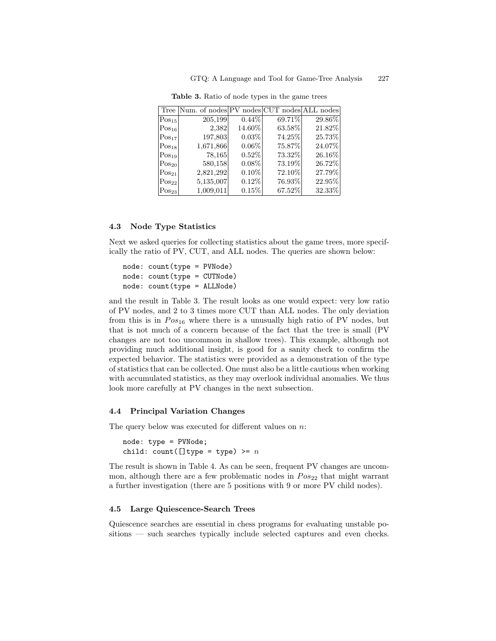|                                 | Tree Num. of nodes PV nodes CUT nodes ALL nodes |          |        |        |
|---------------------------------|-------------------------------------------------|----------|--------|--------|
| $Pos_{15}$                      | 205,199                                         | $0.44\%$ | 69.71% | 29.86% |
| Pos <sub>16</sub>               | 2,382                                           | 14.60%   | 63.58% | 21.82% |
| $Pos_{17}$                      | 197,803                                         | 0.03%    | 74.25% | 25.73% |
| $Pos_{18}$                      | 1,671,866                                       | $0.06\%$ | 75.87% | 24.07% |
| $Pos_{19}$                      | 78,165                                          | $0.52\%$ | 73.32% | 26.16% |
| $Pos_{20}$                      | 580,158                                         | $0.08\%$ | 73.19% | 26.72% |
| $Pos_{21}$                      | 2,821,292                                       | $0.10\%$ | 72.10% | 27.79% |
| $\vert Pos_{22} \vert$          | 5,135,007                                       | $0.12\%$ | 76.93% | 22.95% |
| $\vert \mathrm{Pos_{23}} \vert$ | 1,009,011                                       | 0.15%    | 67.52% | 32.33% |

Table 3. Ratio of node types in the game trees

#### 4.3 Node Type Statistics

Next we asked queries for collecting statistics about the game trees, more specifically the ratio of PV, CUT, and ALL nodes. The queries are shown below:

node: count(type = PVNode) node: count(type = CUTNode) node: count(type = ALLNode)

and the result in Table 3. The result looks as one would expect: very low ratio of PV nodes, and 2 to 3 times more CUT than ALL nodes. The only deviation from this is in  $Pos_{16}$  where there is a unusually high ratio of PV nodes, but that is not much of a concern because of the fact that the tree is small (PV changes are not too uncommon in shallow trees). This example, although not providing much additional insight, is good for a sanity check to confirm the expected behavior. The statistics were provided as a demonstration of the type of statistics that can be collected. One must also be a little cautious when working with accumulated statistics, as they may overlook individual anomalies. We thus look more carefully at PV changes in the next subsection.

## 4.4 Principal Variation Changes

The query below was executed for different values on  $n$ :

```
node: type = PVNode;
child: count([]type = type) >= n
```
The result is shown in Table 4. As can be seen, frequent PV changes are uncommon, although there are a few problematic nodes in  $Pos_{22}$  that might warrant a further investigation (there are 5 positions with 9 or more PV child nodes).

## 4.5 Large Quiescence-Search Trees

Quiescence searches are essential in chess programs for evaluating unstable positions — such searches typically include selected captures and even checks.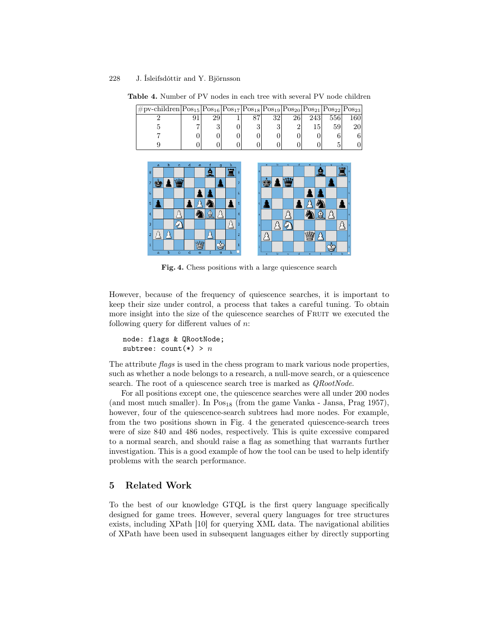| $\#$ pv-children $ Pos_{15} Pos_{16} Pos_{17} Pos_{18} Pos_{19} Pos_{20} Pos_{21} Pos_{22} Pos_{23} $ |    |         |    |    |      |     |     |
|-------------------------------------------------------------------------------------------------------|----|---------|----|----|------|-----|-----|
|                                                                                                       | 29 | $\circ$ | 32 | 26 | 2431 | 556 | 160 |
|                                                                                                       |    |         |    |    |      | 59  |     |
|                                                                                                       |    |         |    |    |      |     |     |
|                                                                                                       |    |         |    |    |      |     |     |

Table 4. Number of PV nodes in each tree with several PV node children



Fig. 4. Chess positions with a large quiescence search

However, because of the frequency of quiescence searches, it is important to keep their size under control, a process that takes a careful tuning. To obtain more insight into the size of the quiescence searches of FRUIT we executed the following query for different values of  $n$ :

```
node: flags & QRootNode;
subtree: count(*) > n
```
The attribute *flags* is used in the chess program to mark various node properties, such as whether a node belongs to a research, a null-move search, or a quiescence search. The root of a quiescence search tree is marked as *QRootNode*.

For all positions except one, the quiescence searches were all under 200 nodes (and most much smaller). In  $Pos_{18}$  (from the game Vanka - Jansa, Prag 1957), however, four of the quiescence-search subtrees had more nodes. For example, from the two positions shown in Fig. 4 the generated quiescence-search trees were of size 840 and 486 nodes, respectively. This is quite excessive compared to a normal search, and should raise a flag as something that warrants further investigation. This is a good example of how the tool can be used to help identify problems with the search performance.

## 5 Related Work

To the best of our knowledge GTQL is the first query language specifically designed for game trees. However, several query languages for tree structures exists, including XPath [10] for querying XML data. The navigational abilities of XPath have been used in subsequent languages either by directly supporting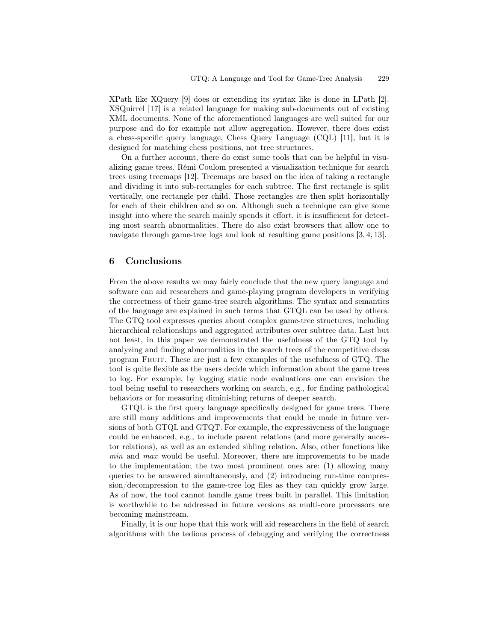XPath like XQuery [9] does or extending its syntax like is done in LPath [2]. XSQuirrel [17] is a related language for making sub-documents out of existing XML documents. None of the aforementioned languages are well suited for our purpose and do for example not allow aggregation. However, there does exist a chess-specific query language, Chess Query Language (CQL) [11], but it is designed for matching chess positions, not tree structures.

On a further account, there do exist some tools that can be helpful in visualizing game trees. Rémi Coulom presented a visualization technique for search trees using treemaps [12]. Treemaps are based on the idea of taking a rectangle and dividing it into sub-rectangles for each subtree. The first rectangle is split vertically, one rectangle per child. Those rectangles are then split horizontally for each of their children and so on. Although such a technique can give some insight into where the search mainly spends it effort, it is insufficient for detecting most search abnormalities. There do also exist browsers that allow one to navigate through game-tree logs and look at resulting game positions [3, 4, 13].

# 6 Conclusions

From the above results we may fairly conclude that the new query language and software can aid researchers and game-playing program developers in verifying the correctness of their game-tree search algorithms. The syntax and semantics of the language are explained in such terms that GTQL can be used by others. The GTQ tool expresses queries about complex game-tree structures, including hierarchical relationships and aggregated attributes over subtree data. Last but not least, in this paper we demonstrated the usefulness of the GTQ tool by analyzing and finding abnormalities in the search trees of the competitive chess program FRUIT. These are just a few examples of the usefulness of GTQ. The tool is quite flexible as the users decide which information about the game trees to log. For example, by logging static node evaluations one can envision the tool being useful to researchers working on search, e.g., for finding pathological behaviors or for measuring diminishing returns of deeper search.

GTQL is the first query language specifically designed for game trees. There are still many additions and improvements that could be made in future versions of both GTQL and GTQT. For example, the expressiveness of the language could be enhanced, e.g., to include parent relations (and more generally ancestor relations), as well as an extended sibling relation. Also, other functions like min and max would be useful. Moreover, there are improvements to be made to the implementation; the two most prominent ones are: (1) allowing many queries to be answered simultaneously, and (2) introducing run-time compression/decompression to the game-tree log files as they can quickly grow large. As of now, the tool cannot handle game trees built in parallel. This limitation is worthwhile to be addressed in future versions as multi-core processors are becoming mainstream.

Finally, it is our hope that this work will aid researchers in the field of search algorithms with the tedious process of debugging and verifying the correctness